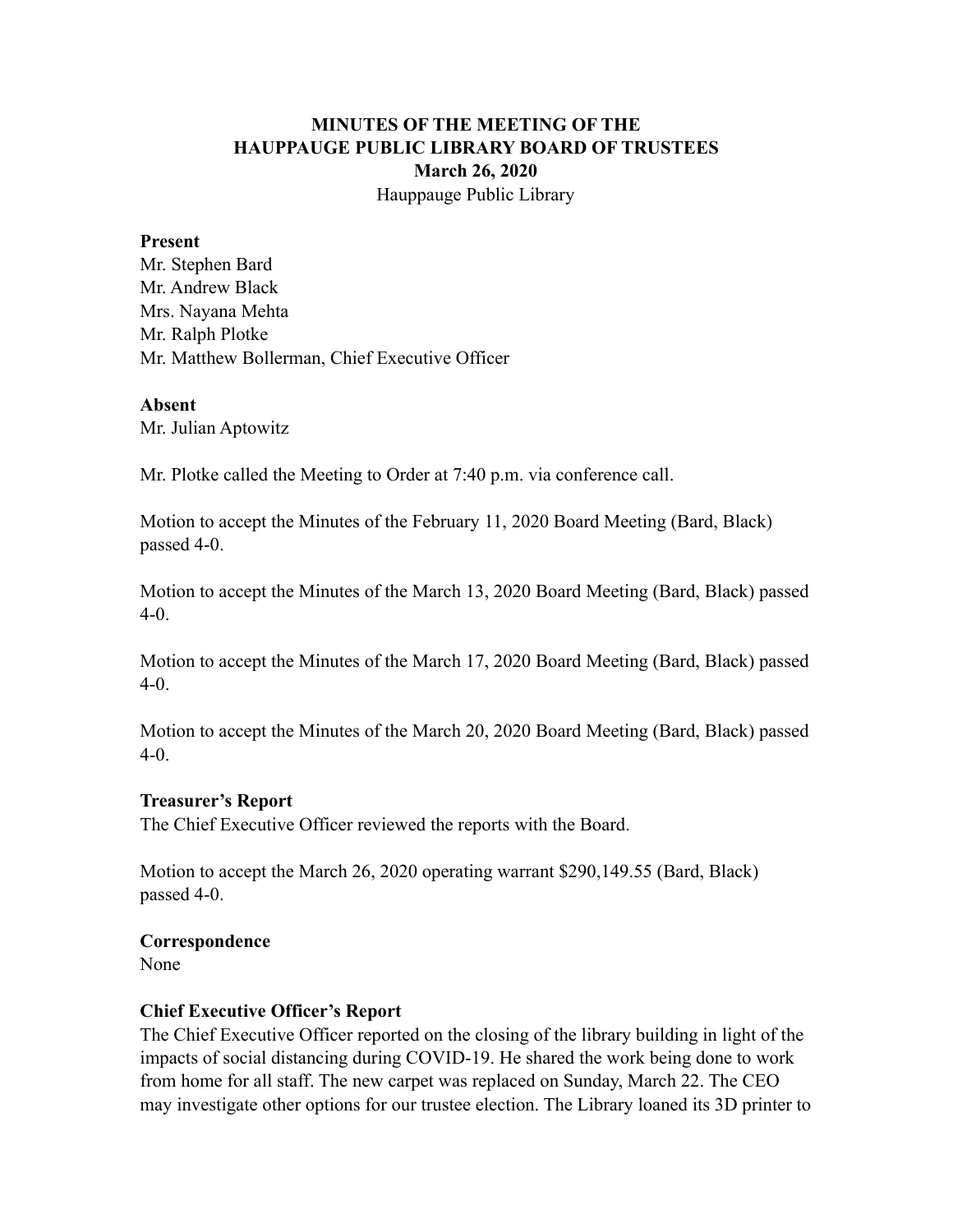# **MINUTES OF THE MEETING OF THE HAUPPAUGE PUBLIC LIBRARY BOARD OF TRUSTEES March 26, 2020** Hauppauge Public Library

#### **Present**

Mr. Stephen Bard Mr. Andrew Black Mrs. Nayana Mehta Mr. Ralph Plotke Mr. Matthew Bollerman, Chief Executive Officer

#### **Absent**

Mr. Julian Aptowitz

Mr. Plotke called the Meeting to Order at 7:40 p.m. via conference call.

Motion to accept the Minutes of the February 11, 2020 Board Meeting (Bard, Black) passed 4-0.

Motion to accept the Minutes of the March 13, 2020 Board Meeting (Bard, Black) passed 4-0.

Motion to accept the Minutes of the March 17, 2020 Board Meeting (Bard, Black) passed 4-0.

Motion to accept the Minutes of the March 20, 2020 Board Meeting (Bard, Black) passed 4-0.

## **Treasurer's Report**

The Chief Executive Officer reviewed the reports with the Board.

Motion to accept the March 26, 2020 operating warrant \$290,149.55 (Bard, Black) passed 4-0.

## **Correspondence**

None

## **Chief Executive Officer's Report**

The Chief Executive Officer reported on the closing of the library building in light of the impacts of social distancing during COVID-19. He shared the work being done to work from home for all staff. The new carpet was replaced on Sunday, March 22. The CEO may investigate other options for our trustee election. The Library loaned its 3D printer to